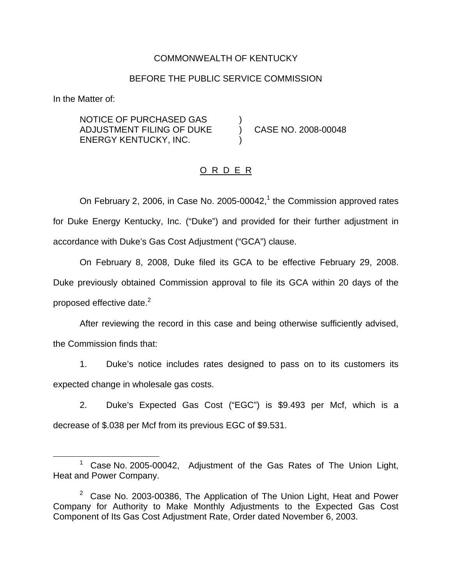## COMMONWEALTH OF KENTUCKY

#### BEFORE THE PUBLIC SERVICE COMMISSION

In the Matter of:

NOTICE OF PURCHASED GAS ) ADJUSTMENT FILING OF DUKE ) CASE NO. 2008-00048 ENERGY KENTUCKY, INC. )

## O R D E R

On February 2, 2006, in Case No. 2005-00042, $1$  the Commission approved rates for Duke Energy Kentucky, Inc. ("Duke") and provided for their further adjustment in accordance with Duke's Gas Cost Adjustment ("GCA") clause.

On February 8, 2008, Duke filed its GCA to be effective February 29, 2008. Duke previously obtained Commission approval to file its GCA within 20 days of the proposed effective date.<sup>2</sup>

After reviewing the record in this case and being otherwise sufficiently advised, the Commission finds that:

1. Duke's notice includes rates designed to pass on to its customers its expected change in wholesale gas costs.

2. Duke's Expected Gas Cost ("EGC") is \$9.493 per Mcf, which is a decrease of \$.038 per Mcf from its previous EGC of \$9.531.

<sup>&</sup>lt;sup>1</sup> Case No. 2005-00042, Adjustment of the Gas Rates of The Union Light, Heat and Power Company.

 $2$  Case No. 2003-00386, The Application of The Union Light, Heat and Power Company for Authority to Make Monthly Adjustments to the Expected Gas Cost Component of Its Gas Cost Adjustment Rate, Order dated November 6, 2003.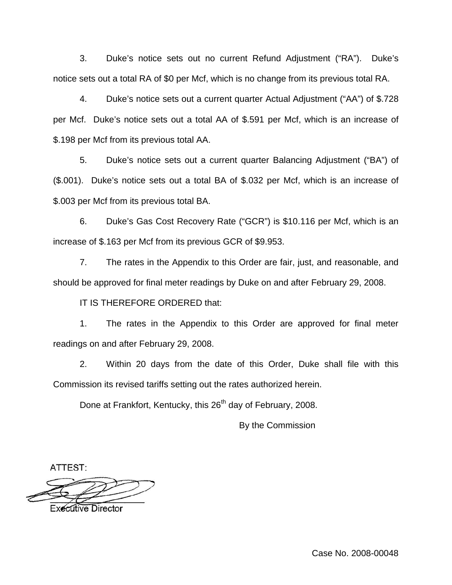3. Duke's notice sets out no current Refund Adjustment ("RA"). Duke's notice sets out a total RA of \$0 per Mcf, which is no change from its previous total RA.

4. Duke's notice sets out a current quarter Actual Adjustment ("AA") of \$.728 per Mcf. Duke's notice sets out a total AA of \$.591 per Mcf, which is an increase of \$.198 per Mcf from its previous total AA.

5. Duke's notice sets out a current quarter Balancing Adjustment ("BA") of (\$.001). Duke's notice sets out a total BA of \$.032 per Mcf, which is an increase of \$.003 per Mcf from its previous total BA.

6. Duke's Gas Cost Recovery Rate ("GCR") is \$10.116 per Mcf, which is an increase of \$.163 per Mcf from its previous GCR of \$9.953.

7. The rates in the Appendix to this Order are fair, just, and reasonable, and should be approved for final meter readings by Duke on and after February 29, 2008.

IT IS THEREFORE ORDERED that:

1. The rates in the Appendix to this Order are approved for final meter readings on and after February 29, 2008.

2. Within 20 days from the date of this Order, Duke shall file with this Commission its revised tariffs setting out the rates authorized herein.

Done at Frankfort, Kentucky, this 26<sup>th</sup> day of February, 2008.

By the Commission

ATTEST:

**Executive Director** 

Case No. 2008-00048